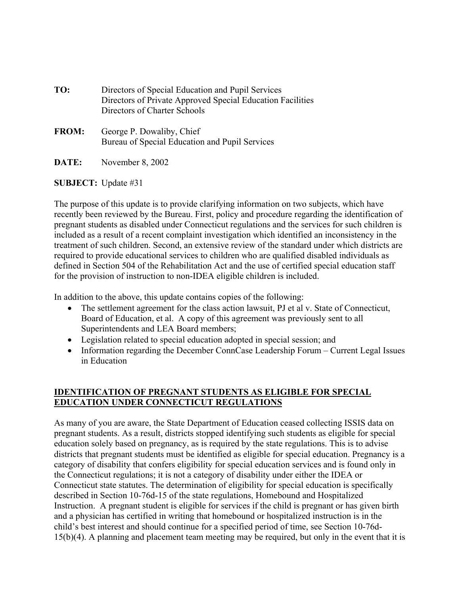| TO:          | Directors of Special Education and Pupil Services<br>Directors of Private Approved Special Education Facilities<br>Directors of Charter Schools |
|--------------|-------------------------------------------------------------------------------------------------------------------------------------------------|
| <b>FROM:</b> | George P. Dowaliby, Chief<br>Bureau of Special Education and Pupil Services                                                                     |

**DATE:** November 8, 2002

#### **SUBJECT:** Update #31

The purpose of this update is to provide clarifying information on two subjects, which have recently been reviewed by the Bureau. First, policy and procedure regarding the identification of pregnant students as disabled under Connecticut regulations and the services for such children is included as a result of a recent complaint investigation which identified an inconsistency in the treatment of such children. Second, an extensive review of the standard under which districts are required to provide educational services to children who are qualified disabled individuals as defined in Section 504 of the Rehabilitation Act and the use of certified special education staff for the provision of instruction to non-IDEA eligible children is included.

In addition to the above, this update contains copies of the following:

- The settlement agreement for the class action lawsuit, PJ et al v. State of Connecticut, Board of Education, et al. A copy of this agreement was previously sent to all Superintendents and LEA Board members;
- Legislation related to special education adopted in special session; and
- Information regarding the December ConnCase Leadership Forum Current Legal Issues in Education

# **IDENTIFICATION OF PREGNANT STUDENTS AS ELIGIBLE FOR SPECIAL EDUCATION UNDER CONNECTICUT REGULATIONS**

As many of you are aware, the State Department of Education ceased collecting ISSIS data on pregnant students. As a result, districts stopped identifying such students as eligible for special education solely based on pregnancy, as is required by the state regulations. This is to advise districts that pregnant students must be identified as eligible for special education. Pregnancy is a category of disability that confers eligibility for special education services and is found only in the Connecticut regulations; it is not a category of disability under either the IDEA or Connecticut state statutes. The determination of eligibility for special education is specifically described in Section 10-76d-15 of the state regulations, Homebound and Hospitalized Instruction. A pregnant student is eligible for services if the child is pregnant or has given birth and a physician has certified in writing that homebound or hospitalized instruction is in the child's best interest and should continue for a specified period of time, see Section 10-76d-15(b)(4). A planning and placement team meeting may be required, but only in the event that it is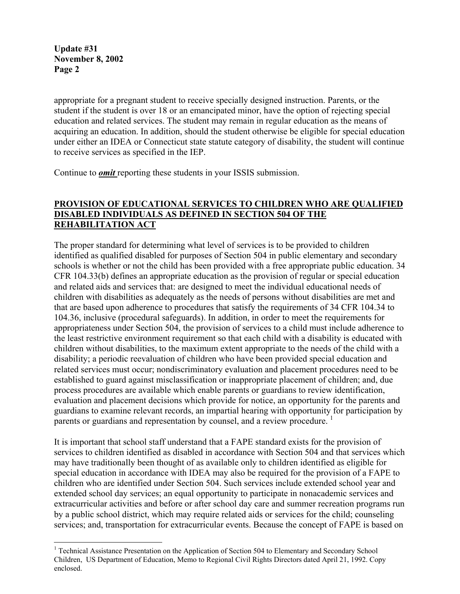appropriate for a pregnant student to receive specially designed instruction. Parents, or the student if the student is over 18 or an emancipated minor, have the option of rejecting special education and related services. The student may remain in regular education as the means of acquiring an education. In addition, should the student otherwise be eligible for special education under either an IDEA or Connecticut state statute category of disability, the student will continue to receive services as specified in the IEP.

Continue to *omit* reporting these students in your ISSIS submission.

# **PROVISION OF EDUCATIONAL SERVICES TO CHILDREN WHO ARE QUALIFIED DISABLED INDIVIDUALS AS DEFINED IN SECTION 504 OF THE REHABILITATION ACT**

The proper standard for determining what level of services is to be provided to children identified as qualified disabled for purposes of Section 504 in public elementary and secondary schools is whether or not the child has been provided with a free appropriate public education. 34 CFR 104.33(b) defines an appropriate education as the provision of regular or special education and related aids and services that: are designed to meet the individual educational needs of children with disabilities as adequately as the needs of persons without disabilities are met and that are based upon adherence to procedures that satisfy the requirements of 34 CFR 104.34 to 104.36, inclusive (procedural safeguards). In addition, in order to meet the requirements for appropriateness under Section 504, the provision of services to a child must include adherence to the least restrictive environment requirement so that each child with a disability is educated with children without disabilities, to the maximum extent appropriate to the needs of the child with a disability; a periodic reevaluation of children who have been provided special education and related services must occur; nondiscriminatory evaluation and placement procedures need to be established to guard against misclassification or inappropriate placement of children; and, due process procedures are available which enable parents or guardians to review identification, evaluation and placement decisions which provide for notice, an opportunity for the parents and guardians to examine relevant records, an impartial hearing with opportunity for participation by parents or guardians and representation by counsel, and a review procedure.  $\frac{1}{1}$ 

It is important that school staff understand that a FAPE standard exists for the provision of services to children identified as disabled in accordance with Section 504 and that services which may have traditionally been thought of as available only to children identified as eligible for special education in accordance with IDEA may also be required for the provision of a FAPE to children who are identified under Section 504. Such services include extended school year and extended school day services; an equal opportunity to participate in nonacademic services and extracurricular activities and before or after school day care and summer recreation programs run by a public school district, which may require related aids or services for the child; counseling services; and, transportation for extracurricular events. Because the concept of FAPE is based on

<sup>&</sup>lt;sup>1</sup> Technical Assistance Presentation on the Application of Section 504 to Elementary and Secondary School Children, US Department of Education, Memo to Regional Civil Rights Directors dated April 21, 1992. Copy enclosed.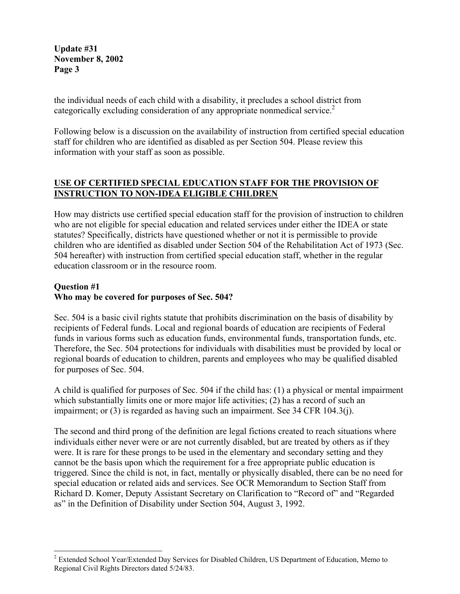the individual needs of each child with a disability, it precludes a school district from categorically excluding consideration of any appropriate nonmedical service.<sup>2</sup>

Following below is a discussion on the availability of instruction from certified special education staff for children who are identified as disabled as per Section 504. Please review this information with your staff as soon as possible.

# **USE OF CERTIFIED SPECIAL EDUCATION STAFF FOR THE PROVISION OF INSTRUCTION TO NON-IDEA ELIGIBLE CHILDREN**

How may districts use certified special education staff for the provision of instruction to children who are not eligible for special education and related services under either the IDEA or state statutes? Specifically, districts have questioned whether or not it is permissible to provide children who are identified as disabled under Section 504 of the Rehabilitation Act of 1973 (Sec. 504 hereafter) with instruction from certified special education staff, whether in the regular education classroom or in the resource room.

# **Question #1 Who may be covered for purposes of Sec. 504?**

Sec. 504 is a basic civil rights statute that prohibits discrimination on the basis of disability by recipients of Federal funds. Local and regional boards of education are recipients of Federal funds in various forms such as education funds, environmental funds, transportation funds, etc. Therefore, the Sec. 504 protections for individuals with disabilities must be provided by local or regional boards of education to children, parents and employees who may be qualified disabled for purposes of Sec. 504.

A child is qualified for purposes of Sec. 504 if the child has: (1) a physical or mental impairment which substantially limits one or more major life activities; (2) has a record of such an impairment; or (3) is regarded as having such an impairment. See 34 CFR 104.3(j).

The second and third prong of the definition are legal fictions created to reach situations where individuals either never were or are not currently disabled, but are treated by others as if they were. It is rare for these prongs to be used in the elementary and secondary setting and they cannot be the basis upon which the requirement for a free appropriate public education is triggered. Since the child is not, in fact, mentally or physically disabled, there can be no need for special education or related aids and services. See OCR Memorandum to Section Staff from Richard D. Komer, Deputy Assistant Secretary on Clarification to "Record of" and "Regarded as" in the Definition of Disability under Section 504, August 3, 1992.

<sup>&</sup>lt;sup>2</sup> Extended School Year/Extended Day Services for Disabled Children, US Department of Education, Memo to Regional Civil Rights Directors dated 5/24/83.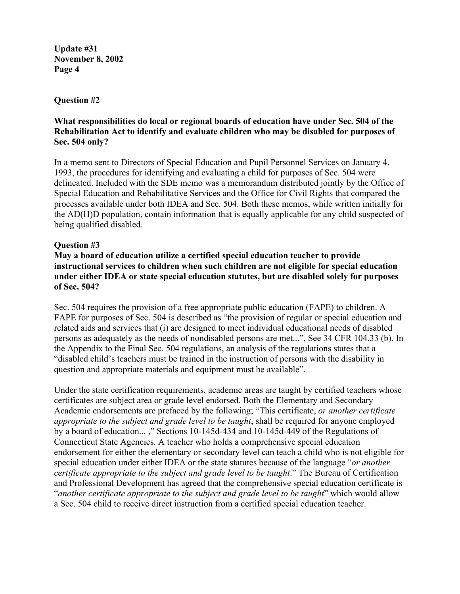#### **Question #2**

## **What responsibilities do local or regional boards of education have under Sec. 504 of the Rehabilitation Act to identify and evaluate children who may be disabled for purposes of Sec. 504 only?**

In a memo sent to Directors of Special Education and Pupil Personnel Services on January 4, 1993, the procedures for identifying and evaluating a child for purposes of Sec. 504 were delineated. Included with the SDE memo was a memorandum distributed jointly by the Office of Special Education and Rehabilitative Services and the Office for Civil Rights that compared the processes available under both IDEA and Sec. 504. Both these memos, while written initially for the AD(H)D population, contain information that is equally applicable for any child suspected of being qualified disabled.

### **Question #3**

# **May a board of education utilize a certified special education teacher to provide instructional services to children when such children are not eligible for special education under either IDEA or state special education statutes, but are disabled solely for purposes of Sec. 504?**

Sec. 504 requires the provision of a free appropriate public education (FAPE) to children. A FAPE for purposes of Sec. 504 is described as "the provision of regular or special education and related aids and services that (i) are designed to meet individual educational needs of disabled persons as adequately as the needs of nondisabled persons are met...", See 34 CFR 104.33 (b). In the Appendix to the Final Sec. 504 regulations, an analysis of the regulations states that a "disabled child's teachers must be trained in the instruction of persons with the disability in question and appropriate materials and equipment must be available".

Under the state certification requirements, academic areas are taught by certified teachers whose certificates are subject area or grade level endorsed. Both the Elementary and Secondary Academic endorsements are prefaced by the following; "This certificate, *or another certificate appropriate to the subject and grade level to be taught*, shall be required for anyone employed by a board of education... ," Sections 10-145d-434 and 10-145d-449 of the Regulations of Connecticut State Agencies. A teacher who holds a comprehensive special education endorsement for either the elementary or secondary level can teach a child who is not eligible for special education under either IDEA or the state statutes because of the language "*or another certificate appropriate to the subject and grade level to be taught*." The Bureau of Certification and Professional Development has agreed that the comprehensive special education certificate is "*another certificate appropriate to the subject and grade level to be taught*" which would allow a Sec. 504 child to receive direct instruction from a certified special education teacher.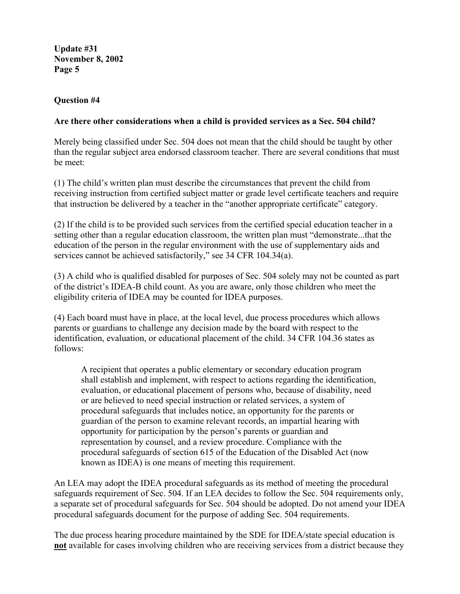### **Question #4**

### **Are there other considerations when a child is provided services as a Sec. 504 child?**

Merely being classified under Sec. 504 does not mean that the child should be taught by other than the regular subject area endorsed classroom teacher. There are several conditions that must be meet:

(1) The child's written plan must describe the circumstances that prevent the child from receiving instruction from certified subject matter or grade level certificate teachers and require that instruction be delivered by a teacher in the "another appropriate certificate" category.

(2) If the child is to be provided such services from the certified special education teacher in a setting other than a regular education classroom, the written plan must "demonstrate...that the education of the person in the regular environment with the use of supplementary aids and services cannot be achieved satisfactorily," see 34 CFR 104.34(a).

(3) A child who is qualified disabled for purposes of Sec. 504 solely may not be counted as part of the district's IDEA-B child count. As you are aware, only those children who meet the eligibility criteria of IDEA may be counted for IDEA purposes.

(4) Each board must have in place, at the local level, due process procedures which allows parents or guardians to challenge any decision made by the board with respect to the identification, evaluation, or educational placement of the child. 34 CFR 104.36 states as follows:

A recipient that operates a public elementary or secondary education program shall establish and implement, with respect to actions regarding the identification, evaluation, or educational placement of persons who, because of disability, need or are believed to need special instruction or related services, a system of procedural safeguards that includes notice, an opportunity for the parents or guardian of the person to examine relevant records, an impartial hearing with opportunity for participation by the person's parents or guardian and representation by counsel, and a review procedure. Compliance with the procedural safeguards of section 615 of the Education of the Disabled Act (now known as IDEA) is one means of meeting this requirement.

An LEA may adopt the IDEA procedural safeguards as its method of meeting the procedural safeguards requirement of Sec. 504. If an LEA decides to follow the Sec. 504 requirements only, a separate set of procedural safeguards for Sec. 504 should be adopted. Do not amend your IDEA procedural safeguards document for the purpose of adding Sec. 504 requirements.

The due process hearing procedure maintained by the SDE for IDEA/state special education is **not** available for cases involving children who are receiving services from a district because they